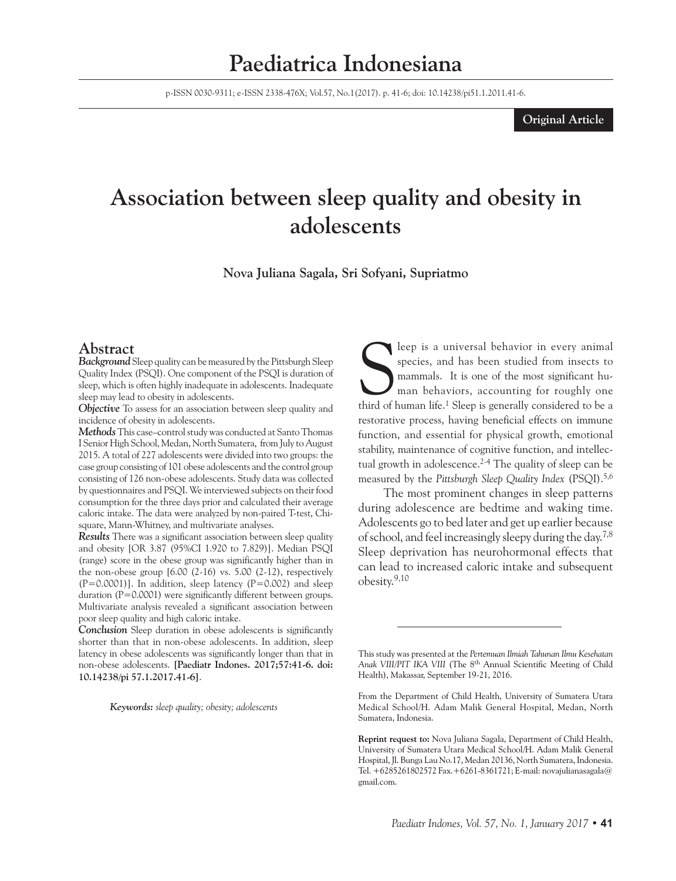## **Paediatrica Indonesiana**

p-ISSN 0030-9311; e-ISSN 2338-476X; Vol.57, No.1(2017). p. 41-6; doi: 10.14238/pi51.1.2011.41-6.

#### **Original Article**

# **Association between sleep quality and obesity in adolescents**

**Nova Juliana Sagala, Sri Sofyani, Supriatmo**

#### **Abstract**

*Background* Sleep quality can be measured by the Pittsburgh Sleep Quality Index (PSQI). One component of the PSQI is duration of sleep, which is often highly inadequate in adolescents. Inadequate sleep may lead to obesity in adolescents.

*Objective* To assess for an association between sleep quality and incidence of obesity in adolescents.

*Methods* This case–control study was conducted at Santo Thomas I Senior High School, Medan, North Sumatera, from July to August 2015. A total of 227 adolescents were divided into two groups: the case group consisting of 101 obese adolescents and the control group consisting of 126 non-obese adolescents. Study data was collected by questionnaires and PSQI. We interviewed subjects on their food consumption for the three days prior and calculated their average caloric intake. The data were analyzed by non-paired T-test, Chisquare, Mann-Whitney, and multivariate analyses.

*Results* There was a significant association between sleep quality and obesity [OR 3.87 (95%CI 1.920 to 7.829)]. Median PSQI (range) score in the obese group was significantly higher than in the non-obese group  $[6.00 (2-16)$  vs.  $5.00 (2-12)$ , respectively  $(P=0.0001)$ ]. In addition, sleep latency  $(P=0.002)$  and sleep duration (P=0.0001) were significantly different between groups. Multivariate analysis revealed a significant association between poor sleep quality and high caloric intake.

*Conclusion* Sleep duration in obese adolescents is significantly shorter than that in non-obese adolescents. In addition, sleep latency in obese adolescents was significantly longer than that in non-obese adolescents. **[Paediatr Indones. 2017;57:41-6. doi: 10.14238/pi 57.1.2017.41-6]**.

*Keywords: sleep quality; obesity; adolescents*

Seep is a universal behavior in every animal species, and has been studied from insects to mammals. It is one of the most significant human behaviors, accounting for roughly one third of human life.<sup>1</sup> Sleep is generally c leep is a universal behavior in every animal species, and has been studied from insects to mammals. It is one of the most significant human behaviors, accounting for roughly one restorative process, having beneficial effects on immune function, and essential for physical growth, emotional stability, maintenance of cognitive function, and intellectual growth in adolescence.<sup>2-4</sup> The quality of sleep can be measured by the *Pittsburgh Sleep Quality Index* (PSQI).5,6

The most prominent changes in sleep patterns during adolescence are bedtime and waking time. Adolescents go to bed later and get up earlier because of school, and feel increasingly sleepy during the day.7,8 Sleep deprivation has neurohormonal effects that can lead to increased caloric intake and subsequent obesity.9,10

This study was presented at the *Pertemuan Ilmiah Tahunan Ilmu Kesehatan Anak VIII/PIT IKA VIII* (The 8th Annual Scientific Meeting of Child Health), Makassar, September 19-21, 2016.

From the Department of Child Health, University of Sumatera Utara Medical School/H. Adam Malik General Hospital, Medan, North Sumatera, Indonesia.

**Reprint request to:** Nova Juliana Sagala, Department of Child Health, University of Sumatera Utara Medical School/H. Adam Malik General Hospital, Jl. Bunga Lau No.17, Medan 20136, North Sumatera, Indonesia. Tel. +6285261802572 Fax.+6261-8361721; E-mail: novajulianasagala@ gmail.com.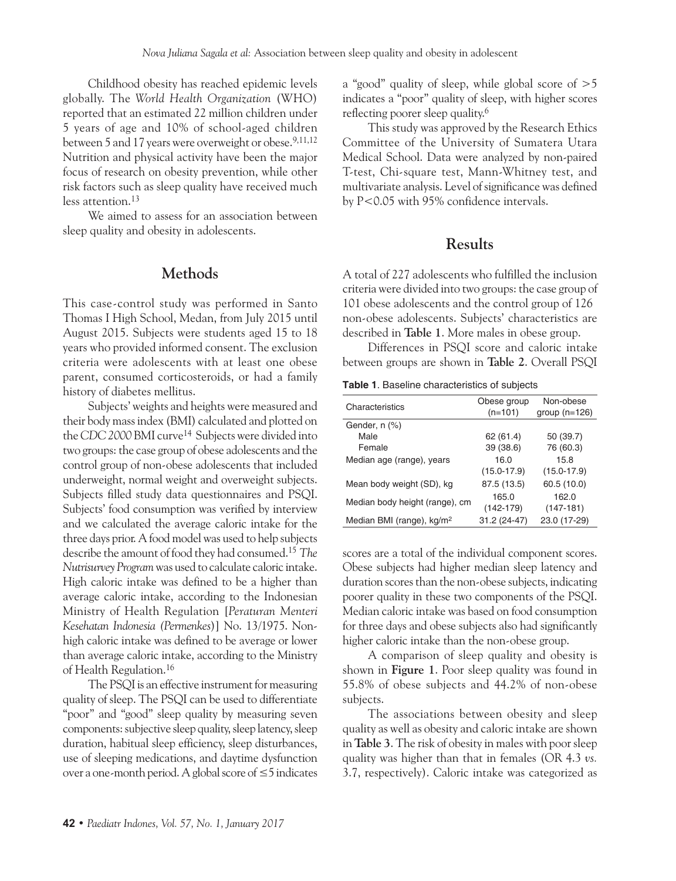Childhood obesity has reached epidemic levels globally. The *World Health Organization* (WHO) reported that an estimated 22 million children under 5 years of age and 10% of school-aged children between 5 and 17 years were overweight or obese.<sup>9,11,12</sup> Nutrition and physical activity have been the major focus of research on obesity prevention, while other risk factors such as sleep quality have received much less attention.<sup>13</sup>

We aimed to assess for an association between sleep quality and obesity in adolescents.

### **Methods**

This case-control study was performed in Santo Thomas I High School, Medan, from July 2015 until August 2015. Subjects were students aged 15 to 18 years who provided informed consent. The exclusion criteria were adolescents with at least one obese parent, consumed corticosteroids, or had a family history of diabetes mellitus.

Subjects' weights and heights were measured and their body mass index (BMI) calculated and plotted on the *CDC 2000* BMI curve14 Subjects were divided into two groups: the case group of obese adolescents and the control group of non-obese adolescents that included underweight, normal weight and overweight subjects. Subjects filled study data questionnaires and PSQI. Subjects' food consumption was verified by interview and we calculated the average caloric intake for the three days prior. A food model was used to help subjects describe the amount of food they had consumed.15 *The Nutrisurvey Program* was used to calculate caloric intake. High caloric intake was defined to be a higher than average caloric intake, according to the Indonesian Ministry of Health Regulation [*Peraturan Menteri Kesehatan Indonesia (Permenkes*)] No. 13/1975. Nonhigh caloric intake was defined to be average or lower than average caloric intake, according to the Ministry of Health Regulation.16

The PSQI is an effective instrument for measuring quality of sleep. The PSQI can be used to differentiate "poor" and "good" sleep quality by measuring seven components: subjective sleep quality, sleep latency, sleep duration, habitual sleep efficiency, sleep disturbances, use of sleeping medications, and daytime dysfunction over a one-month period. A global score of ≤5 indicates

a "good" quality of sleep, while global score of >5 indicates a "poor" quality of sleep, with higher scores reflecting poorer sleep quality.<sup>6</sup>

This study was approved by the Research Ethics Committee of the University of Sumatera Utara Medical School. Data were analyzed by non-paired T-test, Chi-square test, Mann-Whitney test, and multivariate analysis. Level of significance was defined by P<0.05 with 95% confidence intervals.

## **Results**

A total of 227 adolescents who fulfilled the inclusion criteria were divided into two groups: the case group of 101 obese adolescents and the control group of 126 non-obese adolescents. Subjects' characteristics are described in **Table 1**. More males in obese group.

Differences in PSQI score and caloric intake between groups are shown in **Table 2**. Overall PSQI

**Table 1**. Baseline characteristics of subjects

| Characteristics                       | Obese group     | Non-obese       |  |
|---------------------------------------|-----------------|-----------------|--|
|                                       | $(n=101)$       | group $(n=126)$ |  |
| Gender, n (%)                         |                 |                 |  |
| Male                                  | 62(61.4)        | 50 (39.7)       |  |
| Female                                | 39 (38.6)       | 76 (60.3)       |  |
| Median age (range), years             | 16.0            | 15.8            |  |
|                                       | $(15.0 - 17.9)$ | $(15.0 - 17.9)$ |  |
| Mean body weight (SD), kg             | 87.5 (13.5)     | 60.5 (10.0)     |  |
|                                       | 165.0           | 162.0           |  |
| Median body height (range), cm        | $(142-179)$     | $(147-181)$     |  |
| Median BMI (range), kg/m <sup>2</sup> | 31.2 (24-47)    | 23.0 (17-29)    |  |

scores are a total of the individual component scores. Obese subjects had higher median sleep latency and duration scores than the non-obese subjects, indicating poorer quality in these two components of the PSQI. Median caloric intake was based on food consumption for three days and obese subjects also had significantly higher caloric intake than the non-obese group.

A comparison of sleep quality and obesity is shown in **Figure 1**. Poor sleep quality was found in 55.8% of obese subjects and 44.2% of non-obese subjects.

The associations between obesity and sleep quality as well as obesity and caloric intake are shown in **Table 3**. The risk of obesity in males with poor sleep quality was higher than that in females (OR 4.3 *vs.*  3.7, respectively). Caloric intake was categorized as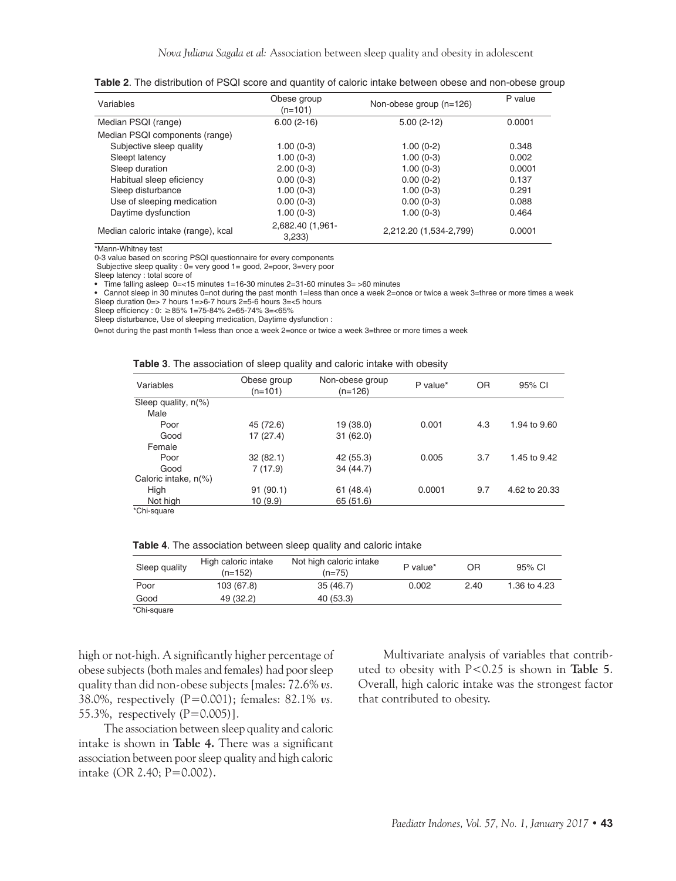| Variables                           | Obese group<br>$(n=101)$  | Non-obese group (n=126) | P value |
|-------------------------------------|---------------------------|-------------------------|---------|
| Median PSQI (range)                 | $6.00(2-16)$              | $5.00(2-12)$            | 0.0001  |
| Median PSQI components (range)      |                           |                         |         |
| Subjective sleep quality            | $1.00(0-3)$               | $1.00(0-2)$             | 0.348   |
| Sleept latency                      | $1.00(0-3)$               | $1.00(0-3)$             | 0.002   |
| Sleep duration                      | $2.00(0-3)$               | $1.00(0-3)$             | 0.0001  |
| Habitual sleep eficiency            | $0.00(0-3)$               | $0.00(0-2)$             | 0.137   |
| Sleep disturbance                   | $1.00(0-3)$               | $1.00(0-3)$             | 0.291   |
| Use of sleeping medication          | $0.00(0-3)$               | $0.00(0-3)$             | 0.088   |
| Daytime dysfunction                 | $1.00(0-3)$               | $1.00(0-3)$             | 0.464   |
| Median caloric intake (range), kcal | 2,682.40 (1,961-<br>3.233 | 2,212.20 (1,534-2,799)  | 0.0001  |

**Table 2**. The distribution of PSQI score and quantity of caloric intake between obese and non-obese group

\*Mann-Whitney test

0-3 value based on scoring PSQI questionnaire for every components

Subjective sleep quality : 0= very good 1= good, 2=poor, 3=very poor

Sleep latency : total score of

• Time falling asleep 0=<15 minutes 1=16-30 minutes 2=31-60 minutes 3= >60 minutes

• Cannot sleep in 30 minutes 0=not during the past month 1=less than once a week 2=once or twice a week 3=three or more times a week Sleep duration 0=> 7 hours 1=>6-7 hours 2=5-6 hours 3=<5 hours

Sleep efficiency : 0: ≥85% 1=75-84% 2=65-74% 3=<65%

Sleep disturbance, Use of sleeping medication, Daytime dysfunction :

0=not during the past month 1=less than once a week 2=once or twice a week 3=three or more times a week

**Table 3**. The association of sleep quality and caloric intake with obesity

| Variables              | Obese group<br>(n=101) | Non-obese group<br>$(n=126)$ | P value* | <b>OR</b> | 95% CI        |
|------------------------|------------------------|------------------------------|----------|-----------|---------------|
| Sleep quality, $n$ (%) |                        |                              |          |           |               |
| Male                   |                        |                              |          |           |               |
| Poor                   | 45 (72.6)              | 19 (38.0)                    | 0.001    | 4.3       | 1.94 to 9.60  |
| Good                   | 17 (27.4)              | 31(62.0)                     |          |           |               |
| Female                 |                        |                              |          |           |               |
| Poor                   | 32(82.1)               | 42 (55.3)                    | 0.005    | 3.7       | 1.45 to 9.42  |
| Good                   | 7(17.9)                | 34 (44.7)                    |          |           |               |
| Caloric intake, n(%)   |                        |                              |          |           |               |
| High                   | 91(90.1)               | 61(48.4)                     | 0.0001   | 9.7       | 4.62 to 20.33 |
| Not high               | 10(9.9)                | 65 (51.6)                    |          |           |               |
| *Chi-square            |                        |                              |          |           |               |

| Sleep quality | High caloric intake<br>$(n=152)$ | Not high caloric intake<br>$(n=75)$ | P value* | ΟR   | 95% CI       |
|---------------|----------------------------------|-------------------------------------|----------|------|--------------|
| Poor          | 103 (67.8)                       | 35(46.7)                            | 0.002    | 2.40 | 1.36 to 4.23 |
| Good          | 49 (32.2)                        | 40 (53.3)                           |          |      |              |
| 'Chi-square   |                                  |                                     |          |      |              |

high or not-high. A significantly higher percentage of obese subjects (both males and females) had poor sleep quality than did non-obese subjects [males: 72.6% *vs.*  38.0%, respectively (P=0.001); females: 82.1% *vs.*  55.3%, respectively (P=0.005)].

The association between sleep quality and caloric intake is shown in **Table 4.** There was a significant association between poor sleep quality and high caloric intake (OR 2.40; P=0.002).

Multivariate analysis of variables that contributed to obesity with P<0.25 is shown in **Table 5**. Overall, high caloric intake was the strongest factor that contributed to obesity.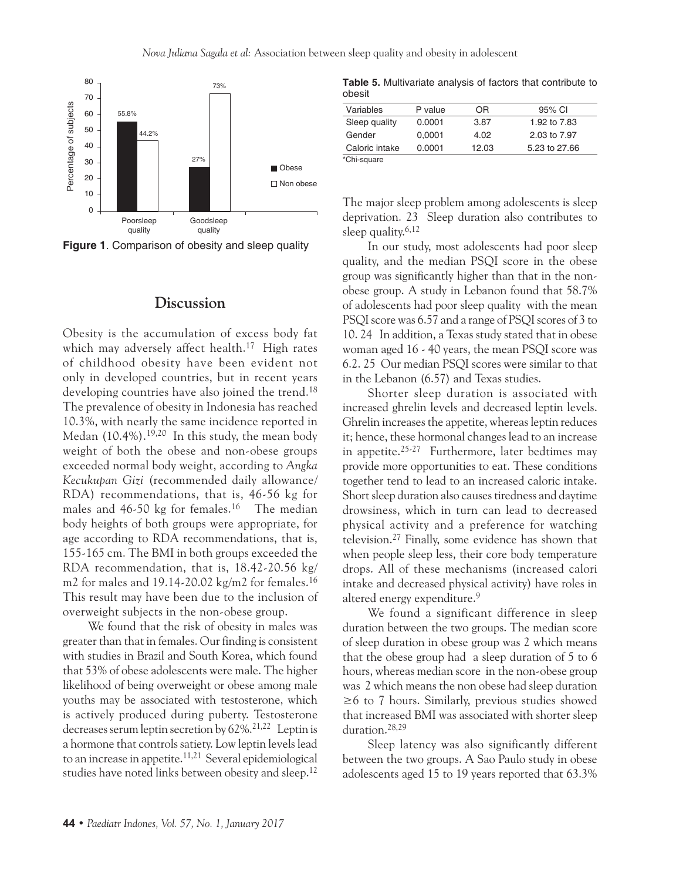

### **Discussion**

Obesity is the accumulation of excess body fat which may adversely affect health.<sup>17</sup> High rates of childhood obesity have been evident not only in developed countries, but in recent years developing countries have also joined the trend.<sup>18</sup> The prevalence of obesity in Indonesia has reached 10.3%, with nearly the same incidence reported in Medan (10.4%).19,20 In this study, the mean body weight of both the obese and non-obese groups exceeded normal body weight, according to *Angka Kecukupan Gizi* (recommended daily allowance/ RDA) recommendations, that is, 46-56 kg for males and 46-50 kg for females.<sup>16</sup> The median body heights of both groups were appropriate, for age according to RDA recommendations, that is, 155-165 cm. The BMI in both groups exceeded the RDA recommendation, that is, 18.42-20.56 kg/ m2 for males and  $19.14 - 20.02$  kg/m2 for females.<sup>16</sup> This result may have been due to the inclusion of overweight subjects in the non-obese group.

We found that the risk of obesity in males was greater than that in females. Our finding is consistent with studies in Brazil and South Korea, which found that 53% of obese adolescents were male. The higher likelihood of being overweight or obese among male youths may be associated with testosterone, which is actively produced during puberty. Testosterone decreases serum leptin secretion by 62%.<sup>21,22</sup> Leptin is a hormone that controls satiety. Low leptin levels lead to an increase in appetite.<sup>11,21</sup> Several epidemiological studies have noted links between obesity and sleep.<sup>12</sup>

**Table 5.** Multivariate analysis of factors that contribute to obesit

| Variables      | P value | ΟR    | 95% CI        |
|----------------|---------|-------|---------------|
| Sleep quality  | 0.0001  | 3.87  | 1.92 to 7.83  |
| Gender         | 0.0001  | 4.02  | 2.03 to 7.97  |
| Caloric intake | 0.0001  | 12.03 | 5.23 to 27.66 |
| *Chi-square    |         |       |               |

The major sleep problem among adolescents is sleep deprivation. 23 Sleep duration also contributes to sleep quality. $6,12$ 

In our study, most adolescents had poor sleep quality, and the median PSQI score in the obese group was significantly higher than that in the nonobese group. A study in Lebanon found that 58.7% of adolescents had poor sleep quality with the mean PSQI score was 6.57 and a range of PSQI scores of 3 to 10. 24 In addition, a Texas study stated that in obese woman aged 16 - 40 years, the mean PSQI score was 6.2. 25 Our median PSQI scores were similar to that in the Lebanon (6.57) and Texas studies.

Shorter sleep duration is associated with increased ghrelin levels and decreased leptin levels. Ghrelin increases the appetite, whereas leptin reduces it; hence, these hormonal changes lead to an increase in appetite.25-27 Furthermore, later bedtimes may provide more opportunities to eat. These conditions together tend to lead to an increased caloric intake. Short sleep duration also causes tiredness and daytime drowsiness, which in turn can lead to decreased physical activity and a preference for watching television.27 Finally, some evidence has shown that when people sleep less, their core body temperature drops. All of these mechanisms (increased calori intake and decreased physical activity) have roles in altered energy expenditure.<sup>9</sup>

We found a significant difference in sleep duration between the two groups. The median score of sleep duration in obese group was 2 which means that the obese group had a sleep duration of 5 to 6 hours, whereas median score in the non-obese group was 2 which means the non obese had sleep duration ≥6 to 7 hours. Similarly, previous studies showed that increased BMI was associated with shorter sleep duration.28,29

Sleep latency was also significantly different between the two groups. A Sao Paulo study in obese adolescents aged 15 to 19 years reported that 63.3%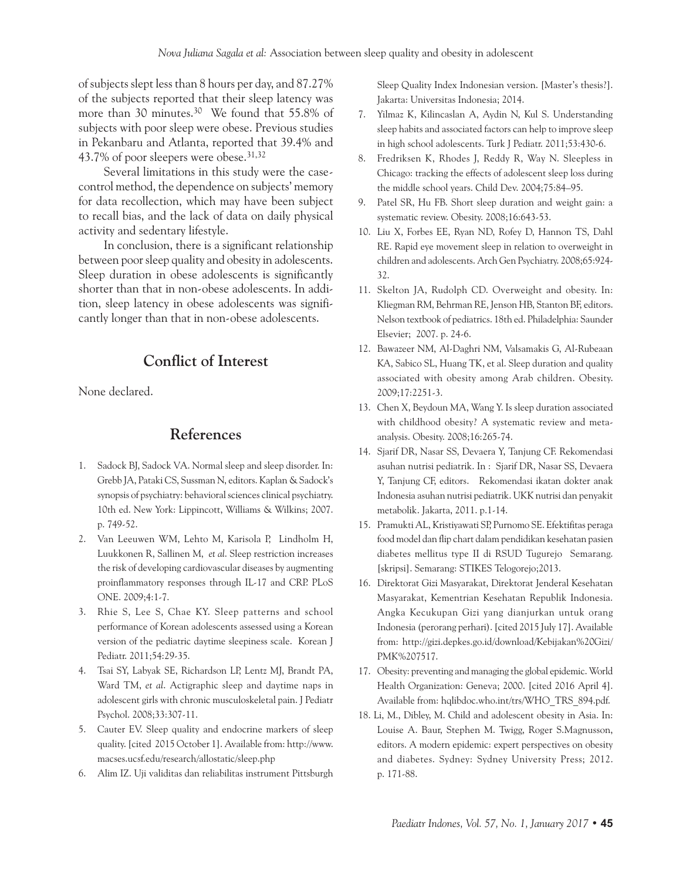of subjects slept less than 8 hours per day, and 87.27% of the subjects reported that their sleep latency was more than 30 minutes.<sup>30</sup> We found that 55.8% of subjects with poor sleep were obese. Previous studies in Pekanbaru and Atlanta, reported that 39.4% and 43.7% of poor sleepers were obese.31,32

Several limitations in this study were the casecontrol method, the dependence on subjects' memory for data recollection, which may have been subject to recall bias, and the lack of data on daily physical activity and sedentary lifestyle.

In conclusion, there is a significant relationship between poor sleep quality and obesity in adolescents. Sleep duration in obese adolescents is significantly shorter than that in non-obese adolescents. In addition, sleep latency in obese adolescents was significantly longer than that in non-obese adolescents.

## **Conflict of Interest**

None declared.

### **References**

- 1. Sadock BJ, Sadock VA. Normal sleep and sleep disorder. In: Grebb JA, Pataki CS, Sussman N, editors. Kaplan & Sadock's synopsis of psychiatry: behavioral sciences clinical psychiatry. 10th ed. New York: Lippincott, Williams & Wilkins; 2007. p. 749-52.
- 2. Van Leeuwen WM, Lehto M, Karisola P, Lindholm H, Luukkonen R, Sallinen M, *et al*. Sleep restriction increases the risk of developing cardiovascular diseases by augmenting proinflammatory responses through IL-17 and CRP. PLoS ONE. 2009;4:1-7.
- 3. Rhie S, Lee S, Chae KY. Sleep patterns and school performance of Korean adolescents assessed using a Korean version of the pediatric daytime sleepiness scale. Korean J Pediatr. 2011;54:29-35.
- 4. Tsai SY, Labyak SE, Richardson LP, Lentz MJ, Brandt PA, Ward TM, *et al*. Actigraphic sleep and daytime naps in adolescent girls with chronic musculoskeletal pain. J Pediatr Psychol. 2008;33:307-11.
- 5. Cauter EV. Sleep quality and endocrine markers of sleep quality. [cited 2015 October 1]. Available from: http://www. macses.ucsf.edu/research/allostatic/sleep.php
- 6. Alim IZ. Uji validitas dan reliabilitas instrument Pittsburgh

Sleep Quality Index Indonesian version. [Master's thesis?]. Jakarta: Universitas Indonesia; 2014.

- 7. Yilmaz K, Kilincaslan A, Aydin N, Kul S. Understanding sleep habits and associated factors can help to improve sleep in high school adolescents. Turk J Pediatr. 2011;53:430-6.
- 8. Fredriksen K, Rhodes J, Reddy R, Way N. Sleepless in Chicago: tracking the effects of adolescent sleep loss during the middle school years. Child Dev. 2004;75:84–95.
- 9. Patel SR, Hu FB. Short sleep duration and weight gain: a systematic review. Obesity. 2008;16:643-53.
- 10. Liu X, Forbes EE, Ryan ND, Rofey D, Hannon TS, Dahl RE. Rapid eye movement sleep in relation to overweight in children and adolescents. Arch Gen Psychiatry. 2008;65:924- 32.
- 11. Skelton JA, Rudolph CD. Overweight and obesity. In: Kliegman RM, Behrman RE, Jenson HB, Stanton BF, editors. Nelson textbook of pediatrics. 18th ed. Philadelphia: Saunder Elsevier; 2007. p. 24-6.
- 12. Bawazeer NM, Al-Daghri NM, Valsamakis G, Al-Rubeaan KA, Sabico SL, Huang TK, et al. Sleep duration and quality associated with obesity among Arab children. Obesity. 2009;17:2251-3.
- 13. Chen X, Beydoun MA, Wang Y. Is sleep duration associated with childhood obesity? A systematic review and metaanalysis. Obesity. 2008;16:265-74.
- 14. Sjarif DR, Nasar SS, Devaera Y, Tanjung CF. Rekomendasi asuhan nutrisi pediatrik. In : Sjarif DR, Nasar SS, Devaera Y, Tanjung CF, editors. Rekomendasi ikatan dokter anak Indonesia asuhan nutrisi pediatrik. UKK nutrisi dan penyakit metabolik. Jakarta, 2011. p.1-14.
- 15. Pramukti AL, Kristiyawati SP, Purnomo SE. Efektifitas peraga food model dan flip chart dalam pendidikan kesehatan pasien diabetes mellitus type II di RSUD Tugurejo Semarang. [skripsi]. Semarang: STIKES Telogorejo;2013.
- 16. Direktorat Gizi Masyarakat, Direktorat Jenderal Kesehatan Masyarakat, Kementrian Kesehatan Republik Indonesia. Angka Kecukupan Gizi yang dianjurkan untuk orang Indonesia (perorang perhari). [cited 2015 July 17]. Available from: http://gizi.depkes.go.id/download/Kebijakan%20Gizi/ PMK%207517.
- 17. Obesity: preventing and managing the global epidemic. World Health Organization: Geneva; 2000. [cited 2016 April 4]. Available from: hqlibdoc.who.int/trs/WHO\_TRS\_894.pdf.
- 18. Li, M., Dibley, M. Child and adolescent obesity in Asia. In: Louise A. Baur, Stephen M. Twigg, Roger S.Magnusson, editors. A modern epidemic: expert perspectives on obesity and diabetes. Sydney: Sydney University Press; 2012. p. 171-88.